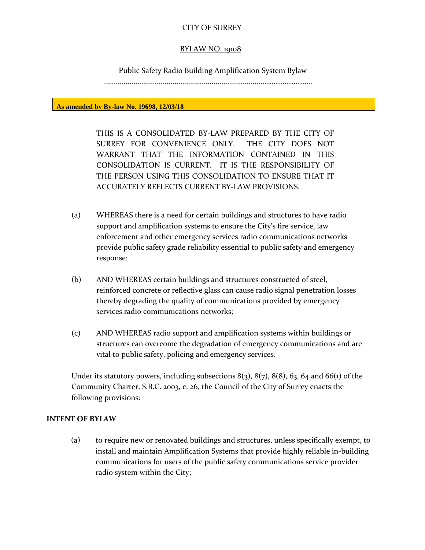#### CITY OF SURREY

#### BYLAW NO. 19108

Public Safety Radio Building Amplification System Bylaw

..................................................................................……………………..

**As amended by By-law No. 19698, 12/03/18**

THIS IS A CONSOLIDATED BY-LAW PREPARED BY THE CITY OF SURREY FOR CONVENIENCE ONLY. THE CITY DOES NOT WARRANT THAT THE INFORMATION CONTAINED IN THIS CONSOLIDATION IS CURRENT. IT IS THE RESPONSIBILITY OF THE PERSON USING THIS CONSOLIDATION TO ENSURE THAT IT ACCURATELY REFLECTS CURRENT BY-LAW PROVISIONS.

- (a) WHEREAS there is a need for certain buildings and structures to have radio support and amplification systems to ensure the City's fire service, law enforcement and other emergency services radio communications networks provide public safety grade reliability essential to public safety and emergency response;
- (b) AND WHEREAS certain buildings and structures constructed of steel, reinforced concrete or reflective glass can cause radio signal penetration losses thereby degrading the quality of communications provided by emergency services radio communications networks;
- (c) AND WHEREAS radio support and amplification systems within buildings or structures can overcome the degradation of emergency communications and are vital to public safety, policing and emergency services.

Under its statutory powers, including subsections  $8(3)$ ,  $8(7)$ ,  $8(8)$ ,  $63$ ,  $64$  and  $66(1)$  of the Community Charter, S.B.C. 2003, c. 26, the Council of the City of Surrey enacts the following provisions:

#### **INTENT OF BYLAW**

(a) to require new or renovated buildings and structures, unless specifically exempt, to install and maintain Amplification Systems that provide highly reliable in-building communications for users of the public safety communications service provider radio system within the City;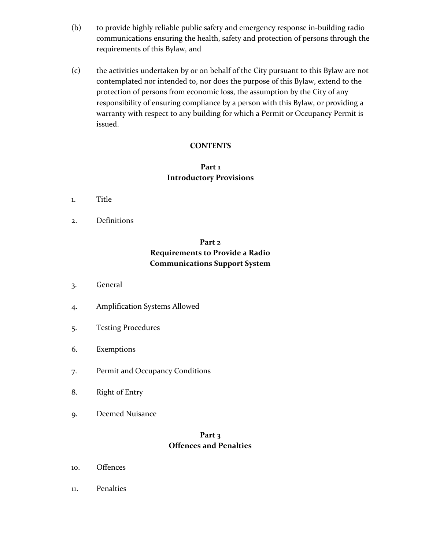- (b) to provide highly reliable public safety and emergency response in-building radio communications ensuring the health, safety and protection of persons through the requirements of this Bylaw, and
- (c) the activities undertaken by or on behalf of the City pursuant to this Bylaw are not contemplated nor intended to, nor does the purpose of this Bylaw, extend to the protection of persons from economic loss, the assumption by the City of any responsibility of ensuring compliance by a person with this Bylaw, or providing a warranty with respect to any building for which a Permit or Occupancy Permit is issued.

### **CONTENTS**

## **Part 1 Introductory Provisions**

- 1. Title
- 2. Definitions

# **Part 2 Requirements to Provide a Radio Communications Support System**

- 3. General
- 4. Amplification Systems Allowed
- 5. Testing Procedures
- 6. Exemptions
- 7. Permit and Occupancy Conditions
- 8. Right of Entry
- 9. Deemed Nuisance

## **Part 3 Offences and Penalties**

- 10. Offences
- 11. Penalties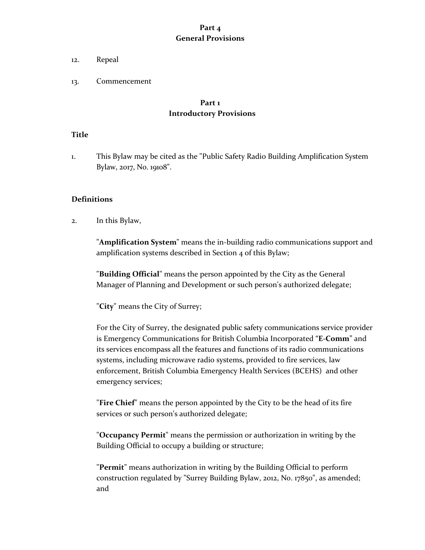### **Part 4 General Provisions**

#### 12. Repeal

13. Commencement

#### **Part 1 Introductory Provisions**

#### **Title**

1. This Bylaw may be cited as the "Public Safety Radio Building Amplification System Bylaw, 2017, No. 19108".

#### **Definitions**

2. In this Bylaw,

"**Amplification System**" means the in-building radio communications support and amplification systems described in Section 4 of this Bylaw;

"**Building Official**" means the person appointed by the City as the General Manager of Planning and Development or such person's authorized delegate;

"**City**" means the City of Surrey;

For the City of Surrey, the designated public safety communications service provider is Emergency Communications for British Columbia Incorporated "**E-Comm**" and its services encompass all the features and functions of its radio communications systems, including microwave radio systems, provided to fire services, law enforcement, British Columbia Emergency Health Services (BCEHS) and other emergency services;

"**Fire Chief**" means the person appointed by the City to be the head of its fire services or such person's authorized delegate;

"**Occupancy Permit**" means the permission or authorization in writing by the Building Official to occupy a building or structure;

"**Permit**" means authorization in writing by the Building Official to perform construction regulated by "Surrey Building Bylaw, 2012, No. 17850", as amended; and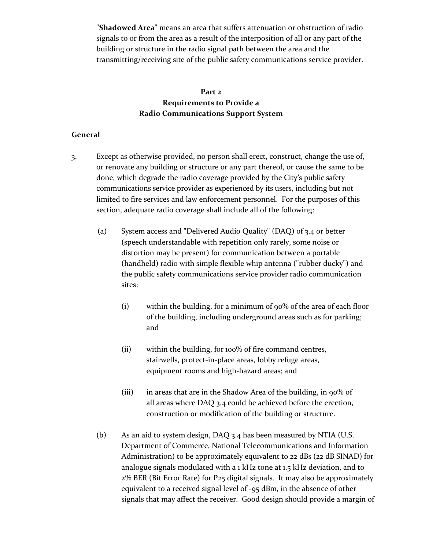"**Shadowed Area**" means an area that suffers attenuation or obstruction of radio signals to or from the area as a result of the interposition of all or any part of the building or structure in the radio signal path between the area and the transmitting/receiving site of the public safety communications service provider.

# **Part 2 Requirements to Provide a Radio Communications Support System**

#### **General**

- 3. Except as otherwise provided, no person shall erect, construct, change the use of, or renovate any building or structure or any part thereof, or cause the same to be done, which degrade the radio coverage provided by the City's public safety communications service provider as experienced by its users, including but not limited to fire services and law enforcement personnel. For the purposes of this section, adequate radio coverage shall include all of the following:
	- (a) System access and "Delivered Audio Quality" (DAQ) of 3.4 or better (speech understandable with repetition only rarely, some noise or distortion may be present) for communication between a portable (handheld) radio with simple flexible whip antenna ("rubber ducky") and the public safety communications service provider radio communication sites:
		- (i) within the building, for a minimum of 90% of the area of each floor of the building, including underground areas such as for parking; and
		- (ii) within the building, for 100% of fire command centres, stairwells, protect-in-place areas, lobby refuge areas, equipment rooms and high-hazard areas; and
		- (iii) in areas that are in the Shadow Area of the building, in 90% of all areas where DAQ 3.4 could be achieved before the erection, construction or modification of the building or structure.
	- (b) As an aid to system design, DAQ 3.4 has been measured by NTIA (U.S. Department of Commerce, National Telecommunications and Information Administration) to be approximately equivalent to 22 dBs (22 dB SINAD) for analogue signals modulated with a 1 kHz tone at 1.5 kHz deviation, and to 2% BER (Bit Error Rate) for P25 digital signals. It may also be approximately equivalent to a received signal level of -95 dBm, in the absence of other signals that may affect the receiver. Good design should provide a margin of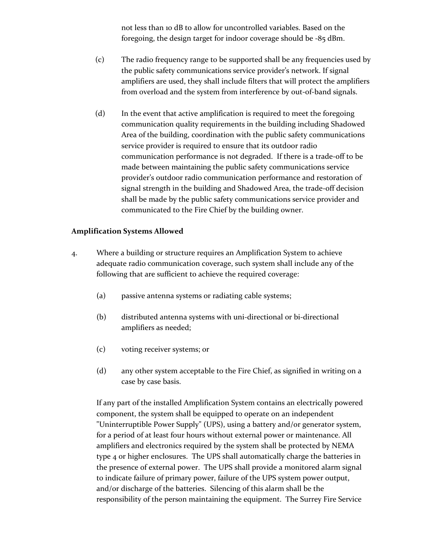not less than 10 dB to allow for uncontrolled variables. Based on the foregoing, the design target for indoor coverage should be -85 dBm.

- (c) The radio frequency range to be supported shall be any frequencies used by the public safety communications service provider's network. If signal amplifiers are used, they shall include filters that will protect the amplifiers from overload and the system from interference by out-of-band signals.
- (d) In the event that active amplification is required to meet the foregoing communication quality requirements in the building including Shadowed Area of the building, coordination with the public safety communications service provider is required to ensure that its outdoor radio communication performance is not degraded. If there is a trade-off to be made between maintaining the public safety communications service provider's outdoor radio communication performance and restoration of signal strength in the building and Shadowed Area, the trade-off decision shall be made by the public safety communications service provider and communicated to the Fire Chief by the building owner.

### **Amplification Systems Allowed**

- 4. Where a building or structure requires an Amplification System to achieve adequate radio communication coverage, such system shall include any of the following that are sufficient to achieve the required coverage:
	- (a) passive antenna systems or radiating cable systems;
	- (b) distributed antenna systems with uni-directional or bi-directional amplifiers as needed;
	- (c) voting receiver systems; or
	- (d) any other system acceptable to the Fire Chief, as signified in writing on a case by case basis.

If any part of the installed Amplification System contains an electrically powered component, the system shall be equipped to operate on an independent "Uninterruptible Power Supply" (UPS), using a battery and/or generator system, for a period of at least four hours without external power or maintenance. All amplifiers and electronics required by the system shall be protected by NEMA type 4 or higher enclosures. The UPS shall automatically charge the batteries in the presence of external power. The UPS shall provide a monitored alarm signal to indicate failure of primary power, failure of the UPS system power output, and/or discharge of the batteries. Silencing of this alarm shall be the responsibility of the person maintaining the equipment. The Surrey Fire Service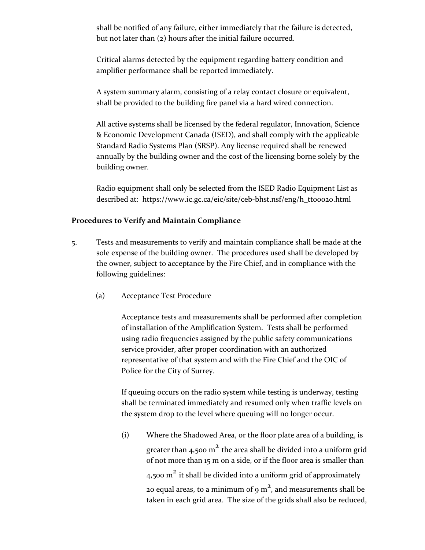shall be notified of any failure, either immediately that the failure is detected, but not later than (2) hours after the initial failure occurred.

Critical alarms detected by the equipment regarding battery condition and amplifier performance shall be reported immediately.

A system summary alarm, consisting of a relay contact closure or equivalent, shall be provided to the building fire panel via a hard wired connection.

All active systems shall be licensed by the federal regulator, Innovation, Science & Economic Development Canada (ISED), and shall comply with the applicable Standard Radio Systems Plan (SRSP). Any license required shall be renewed annually by the building owner and the cost of the licensing borne solely by the building owner.

Radio equipment shall only be selected from the ISED Radio Equipment List as described at: https://www.ic.gc.ca/eic/site/ceb-bhst.nsf/eng/h\_tt00020.html

#### **Procedures to Verify and Maintain Compliance**

- 5. Tests and measurements to verify and maintain compliance shall be made at the sole expense of the building owner. The procedures used shall be developed by the owner, subject to acceptance by the Fire Chief, and in compliance with the following guidelines:
	- (a) Acceptance Test Procedure

Acceptance tests and measurements shall be performed after completion of installation of the Amplification System. Tests shall be performed using radio frequencies assigned by the public safety communications service provider, after proper coordination with an authorized representative of that system and with the Fire Chief and the OIC of Police for the City of Surrey.

If queuing occurs on the radio system while testing is underway, testing shall be terminated immediately and resumed only when traffic levels on the system drop to the level where queuing will no longer occur.

(i) Where the Shadowed Area, or the floor plate area of a building, is greater than 4,500 m<sup>2</sup> the area shall be divided into a uniform grid of not more than 15 m on a side, or if the floor area is smaller than 4,500  $m^2$  it shall be divided into a uniform grid of approximately 20 equal areas, to a minimum of 9  $m^2$ , and measurements shall be taken in each grid area. The size of the grids shall also be reduced,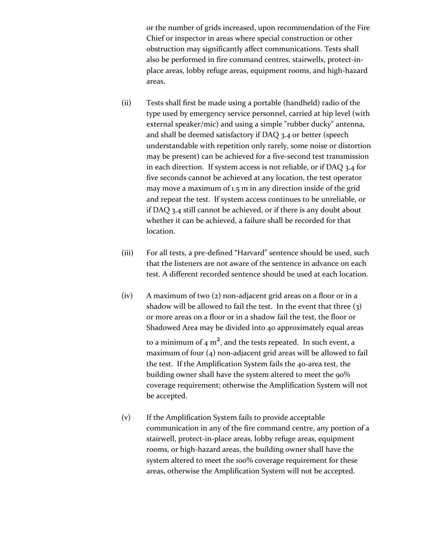or the number of grids increased, upon recommendation of the Fire Chief or inspector in areas where special construction or other obstruction may significantly affect communications. Tests shall also be performed in fire command centres, stairwells, protect-inplace areas, lobby refuge areas, equipment rooms, and high-hazard areas.

- (ii) Tests shall first be made using a portable (handheld) radio of the type used by emergency service personnel, carried at hip level (with external speaker/mic) and using a simple "rubber ducky" antenna, and shall be deemed satisfactory if DAQ 3.4 or better (speech understandable with repetition only rarely, some noise or distortion may be present) can be achieved for a five-second test transmission in each direction. If system access is not reliable, or if DAQ 3.4 for five seconds cannot be achieved at any location, the test operator may move a maximum of 1.5 m in any direction inside of the grid and repeat the test. If system access continues to be unreliable, or if DAQ 3.4 still cannot be achieved, or if there is any doubt about whether it can be achieved, a failure shall be recorded for that location.
- (iii) For all tests, a pre-defined "Harvard" sentence should be used, such that the listeners are not aware of the sentence in advance on each test. A different recorded sentence should be used at each location.
- (iv) A maximum of two (2) non-adjacent grid areas on a floor or in a shadow will be allowed to fail the test. In the event that three  $(3)$ or more areas on a floor or in a shadow fail the test, the floor or Shadowed Area may be divided into 40 approximately equal areas

to a minimum of 4  $m^2$ , and the tests repeated. In such event, a maximum of four (4) non-adjacent grid areas will be allowed to fail the test. If the Amplification System fails the 40-area test, the building owner shall have the system altered to meet the 90% coverage requirement; otherwise the Amplification System will not be accepted.

(v) If the Amplification System fails to provide acceptable communication in any of the fire command centre, any portion of a stairwell, protect-in-place areas, lobby refuge areas, equipment rooms, or high-hazard areas, the building owner shall have the system altered to meet the 100% coverage requirement for these areas, otherwise the Amplification System will not be accepted.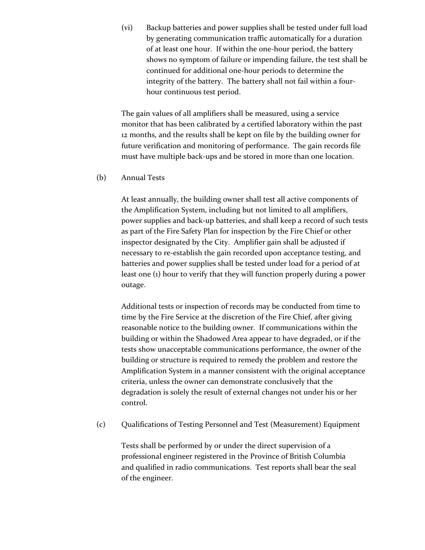(vi) Backup batteries and power supplies shall be tested under full load by generating communication traffic automatically for a duration of at least one hour. If within the one-hour period, the battery shows no symptom of failure or impending failure, the test shall be continued for additional one-hour periods to determine the integrity of the battery. The battery shall not fail within a fourhour continuous test period.

The gain values of all amplifiers shall be measured, using a service monitor that has been calibrated by a certified laboratory within the past 12 months, and the results shall be kept on file by the building owner for future verification and monitoring of performance. The gain records file must have multiple back-ups and be stored in more than one location.

(b) Annual Tests

At least annually, the building owner shall test all active components of the Amplification System, including but not limited to all amplifiers, power supplies and back-up batteries, and shall keep a record of such tests as part of the Fire Safety Plan for inspection by the Fire Chief or other inspector designated by the City. Amplifier gain shall be adjusted if necessary to re-establish the gain recorded upon acceptance testing, and batteries and power supplies shall be tested under load for a period of at least one (1) hour to verify that they will function properly during a power outage.

Additional tests or inspection of records may be conducted from time to time by the Fire Service at the discretion of the Fire Chief, after giving reasonable notice to the building owner. If communications within the building or within the Shadowed Area appear to have degraded, or if the tests show unacceptable communications performance, the owner of the building or structure is required to remedy the problem and restore the Amplification System in a manner consistent with the original acceptance criteria, unless the owner can demonstrate conclusively that the degradation is solely the result of external changes not under his or her control.

(c) Qualifications of Testing Personnel and Test (Measurement) Equipment

Tests shall be performed by or under the direct supervision of a professional engineer registered in the Province of British Columbia and qualified in radio communications. Test reports shall bear the seal of the engineer.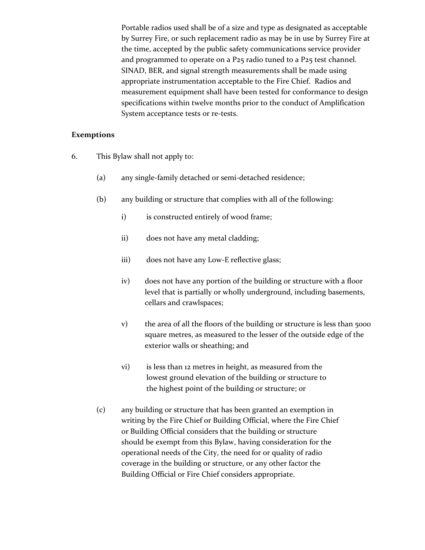Portable radios used shall be of a size and type as designated as acceptable by Surrey Fire, or such replacement radio as may be in use by Surrey Fire at the time, accepted by the public safety communications service provider and programmed to operate on a P25 radio tuned to a P25 test channel. SINAD, BER, and signal strength measurements shall be made using appropriate instrumentation acceptable to the Fire Chief. Radios and measurement equipment shall have been tested for conformance to design specifications within twelve months prior to the conduct of Amplification System acceptance tests or re-tests.

#### **Exemptions**

- 6. This Bylaw shall not apply to:
	- (a) any single-family detached or semi-detached residence;
	- (b) any building or structure that complies with all of the following:
		- i) is constructed entirely of wood frame;
		- ii) does not have any metal cladding;
		- iii) does not have any Low-E reflective glass;
		- iv) does not have any portion of the building or structure with a floor level that is partially or wholly underground, including basements, cellars and crawlspaces;
		- v) the area of all the floors of the building or structure is less than 5000 square metres, as measured to the lesser of the outside edge of the exterior walls or sheathing; and
		- vi) is less than 12 metres in height, as measured from the lowest ground elevation of the building or structure to the highest point of the building or structure; or
	- (c) any building or structure that has been granted an exemption in writing by the Fire Chief or Building Official, where the Fire Chief or Building Official considers that the building or structure should be exempt from this Bylaw, having consideration for the operational needs of the City, the need for or quality of radio coverage in the building or structure, or any other factor the Building Official or Fire Chief considers appropriate.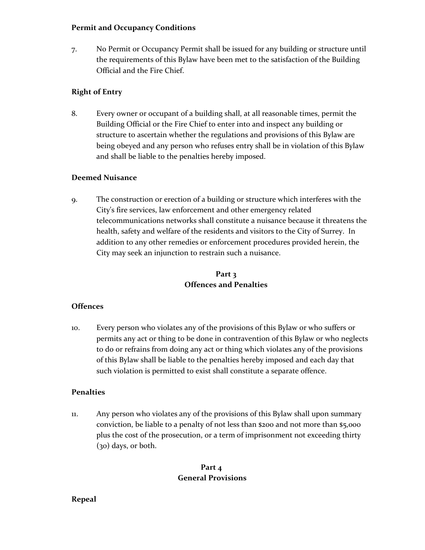#### **Permit and Occupancy Conditions**

7. No Permit or Occupancy Permit shall be issued for any building or structure until the requirements of this Bylaw have been met to the satisfaction of the Building Official and the Fire Chief.

## **Right of Entry**

8. Every owner or occupant of a building shall, at all reasonable times, permit the Building Official or the Fire Chief to enter into and inspect any building or structure to ascertain whether the regulations and provisions of this Bylaw are being obeyed and any person who refuses entry shall be in violation of this Bylaw and shall be liable to the penalties hereby imposed.

### **Deemed Nuisance**

9. The construction or erection of a building or structure which interferes with the City's fire services, law enforcement and other emergency related telecommunications networks shall constitute a nuisance because it threatens the health, safety and welfare of the residents and visitors to the City of Surrey. In addition to any other remedies or enforcement procedures provided herein, the City may seek an injunction to restrain such a nuisance.

# **Part 3 Offences and Penalties**

## **Offences**

10. Every person who violates any of the provisions of this Bylaw or who suffers or permits any act or thing to be done in contravention of this Bylaw or who neglects to do or refrains from doing any act or thing which violates any of the provisions of this Bylaw shall be liable to the penalties hereby imposed and each day that such violation is permitted to exist shall constitute a separate offence.

#### **Penalties**

11. Any person who violates any of the provisions of this Bylaw shall upon summary conviction, be liable to a penalty of not less than \$200 and not more than \$5,000 plus the cost of the prosecution, or a term of imprisonment not exceeding thirty (30) days, or both.

## **Part 4 General Provisions**